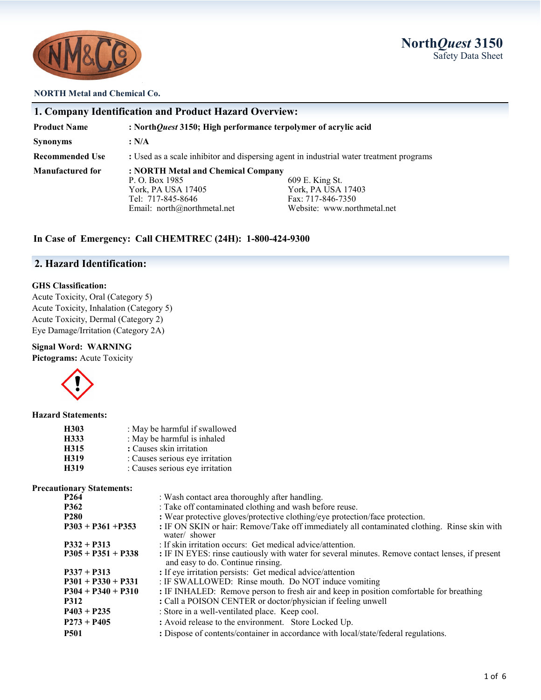

### **NORTH Metal and Chemical Co.**

|                        | 1. Company Identification and Product Hazard Overview:                                                                           |                                                                                           |
|------------------------|----------------------------------------------------------------------------------------------------------------------------------|-------------------------------------------------------------------------------------------|
| <b>Product Name</b>    | : NorthQuest 3150; High performance terpolymer of acrylic acid                                                                   |                                                                                           |
| <b>Synonyms</b>        | : N/A                                                                                                                            |                                                                                           |
| <b>Recommended Use</b> | : Used as a scale inhibitor and dispersing agent in industrial water treatment programs                                          |                                                                                           |
| Manufactured for       | : NORTH Metal and Chemical Company<br>P. O. Box 1985<br>York, PA USA 17405<br>Tel: 717-845-8646<br>Email: $north@northmetal.net$ | 609 E. King St.<br>York, PA USA 17403<br>Fax: 717-846-7350<br>Website: www.northmetal.net |

### **In Case of Emergency: Call CHEMTREC (24H): 1-800-424-9300**

# **2. Hazard Identification:**

### **GHS Classification:**

Acute Toxicity, Oral (Category 5) Acute Toxicity, Inhalation (Category 5) Acute Toxicity, Dermal (Category 2) Eye Damage/Irritation (Category 2A)

### **Signal Word: WARNING**

**Pictograms:** Acute Toxicity



#### **Hazard Statements:**

| H303 | : May be harmful if swallowed   |
|------|---------------------------------|
| H333 | : May be harmful is inhaled     |
| H315 | : Causes skin irritation        |
| H319 | : Causes serious eye irritation |
| H319 | : Causes serious eye irritation |

#### **Precautionary Statements:**

| P <sub>264</sub>     | : Wash contact area thoroughly after handling.                                                                                        |
|----------------------|---------------------------------------------------------------------------------------------------------------------------------------|
| <b>P362</b>          | : Take off contaminated clothing and wash before reuse.                                                                               |
| <b>P280</b>          | : Wear protective gloves/protective clothing/eye protection/face protection.                                                          |
| $P303 + P361 + P353$ | : IF ON SKIN or hair: Remove/Take off immediately all contaminated clothing. Rinse skin with<br>water/ shower                         |
| $P332 + P313$        | : If skin irritation occurs: Get medical advice/attention.                                                                            |
| $P305 + P351 + P338$ | : IF IN EYES: rinse cautiously with water for several minutes. Remove contact lenses, if present<br>and easy to do. Continue rinsing. |
| $P337 + P313$        | : If eye irritation persists: Get medical advice/attention                                                                            |
| $P301 + P330 + P331$ | : IF SWALLOWED: Rinse mouth. Do NOT induce vomiting                                                                                   |
| $P304 + P340 + P310$ | : IF INHALED: Remove person to fresh air and keep in position comfortable for breathing                                               |
| <b>P312</b>          | : Call a POISON CENTER or doctor/physician if feeling unwell                                                                          |
| $P403 + P235$        | : Store in a well-ventilated place. Keep cool.                                                                                        |
| $P273 + P405$        | : Avoid release to the environment. Store Locked Up.                                                                                  |
| <b>P501</b>          | : Dispose of contents/container in accordance with local/state/federal regulations.                                                   |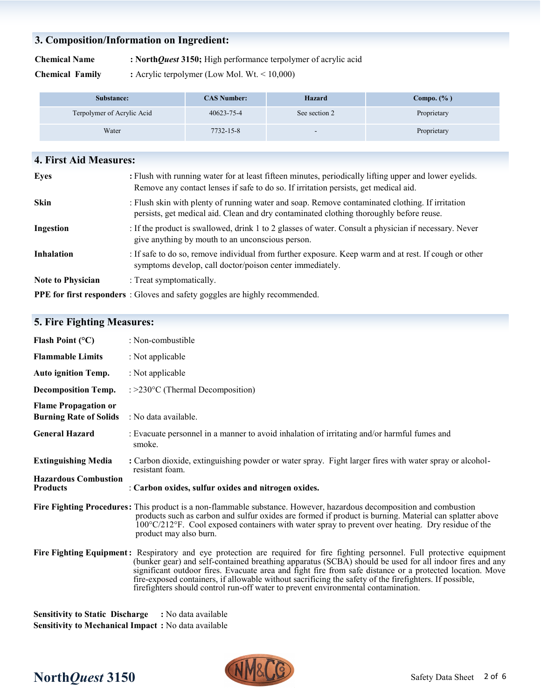# **3. Composition/Information on Ingredient:**

**Chemical Name : North***Quest* **3150;** High performance terpolymer of acrylic acid

**Chemical Family : Acrylic terpolymer (Low Mol. Wt. < 10,000)** 

| Substance:                 | <b>CAS Number:</b> | <b>Hazard</b>            | $Compo.$ $(\% )$ |
|----------------------------|--------------------|--------------------------|------------------|
| Terpolymer of Acrylic Acid | 40623-75-4         | See section 2            | Proprietary      |
| Water                      | 7732-15-8          | $\overline{\phantom{0}}$ | Proprietary      |

| 4. First Aid Measures:   |                                                                                                                                                                                                |
|--------------------------|------------------------------------------------------------------------------------------------------------------------------------------------------------------------------------------------|
| <b>Eyes</b>              | : Flush with running water for at least fifteen minutes, periodically lifting upper and lower eyelids.<br>Remove any contact lenses if safe to do so. If irritation persists, get medical aid. |
| <b>Skin</b>              | : Flush skin with plenty of running water and soap. Remove contaminated clothing. If irritation<br>persists, get medical aid. Clean and dry contaminated clothing thoroughly before reuse.     |
| Ingestion                | : If the product is swallowed, drink 1 to 2 glasses of water. Consult a physician if necessary. Never<br>give anything by mouth to an unconscious person.                                      |
| <b>Inhalation</b>        | : If safe to do so, remove individual from further exposure. Keep warm and at rest. If cough or other<br>symptoms develop, call doctor/poison center immediately.                              |
| <b>Note to Physician</b> | : Treat symptomatically.                                                                                                                                                                       |
|                          | <b>PPE for first responders</b> : Gloves and safety goggles are highly recommended.                                                                                                            |

# **5. Fire Fighting Measures:**

| Flash Point $(^{\circ}C)$                                    | : Non-combustible                                                                                                                                                                                                                                                                                                                                                                                                                                                                                                                                 |
|--------------------------------------------------------------|---------------------------------------------------------------------------------------------------------------------------------------------------------------------------------------------------------------------------------------------------------------------------------------------------------------------------------------------------------------------------------------------------------------------------------------------------------------------------------------------------------------------------------------------------|
| <b>Flammable Limits</b>                                      | : Not applicable                                                                                                                                                                                                                                                                                                                                                                                                                                                                                                                                  |
| <b>Auto ignition Temp.</b>                                   | : Not applicable                                                                                                                                                                                                                                                                                                                                                                                                                                                                                                                                  |
| <b>Decomposition Temp.</b>                                   | : $>230^{\circ}$ C (Thermal Decomposition)                                                                                                                                                                                                                                                                                                                                                                                                                                                                                                        |
| <b>Flame Propagation or</b><br><b>Burning Rate of Solids</b> | : No data available.                                                                                                                                                                                                                                                                                                                                                                                                                                                                                                                              |
| <b>General Hazard</b>                                        | : Evacuate personnel in a manner to avoid inhalation of irritating and/or harmful fumes and<br>smoke.                                                                                                                                                                                                                                                                                                                                                                                                                                             |
| <b>Extinguishing Media</b>                                   | : Carbon dioxide, extinguishing powder or water spray. Fight larger fires with water spray or alcohol-<br>resistant foam.                                                                                                                                                                                                                                                                                                                                                                                                                         |
| <b>Hazardous Combustion</b><br><b>Products</b>               | : Carbon oxides, sulfur oxides and nitrogen oxides.                                                                                                                                                                                                                                                                                                                                                                                                                                                                                               |
|                                                              | Fire Fighting Procedures: This product is a non-flammable substance. However, hazardous decomposition and combustion<br>products such as carbon and sulfur oxides are formed if product is burning. Material can splatter above<br>$100^{\circ}$ C/212 <sup>o</sup> F. Cool exposed containers with water spray to prevent over heating. Dry residue of the<br>product may also burn.                                                                                                                                                             |
|                                                              | Fire Fighting Equipment: Respiratory and eye protection are required for fire fighting personnel. Full protective equipment<br>(bunker gear) and self-contained breathing apparatus (SCBA) should be used for all indoor fires and any<br>significant outdoor fires. Evacuate area and fight fire from safe distance or a protected location. Move<br>fire-exposed containers, if allowable without sacrificing the safety of the firefighters. If possible,<br>firefighters should control run-off water to prevent environmental contamination. |

**Sensitivity to Static Discharge :** No data available **Sensitivity to Mechanical Impact :** No data available

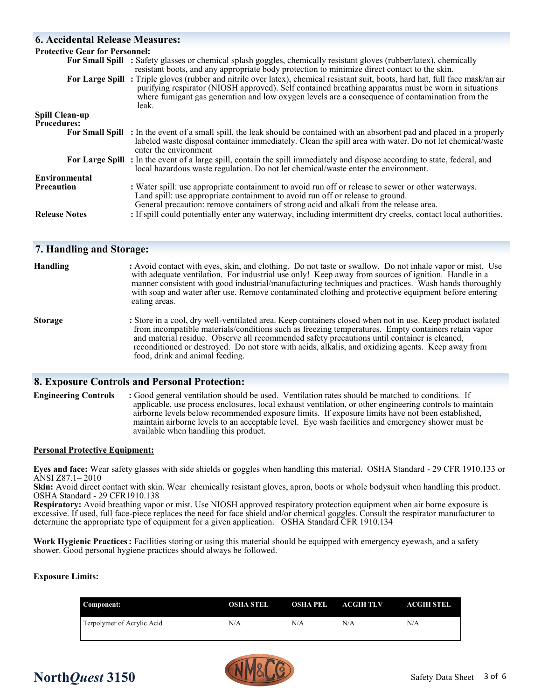# **6. Accidental Release Measures:**

| <b>Protective Gear for Personnel:</b> |                                                                                                                                                                                                                                                                                                                                                     |
|---------------------------------------|-----------------------------------------------------------------------------------------------------------------------------------------------------------------------------------------------------------------------------------------------------------------------------------------------------------------------------------------------------|
|                                       | For Small Spill : Safety glasses or chemical splash goggles, chemically resistant gloves (rubber/latex), chemically<br>resistant boots, and any appropriate body protection to minimize direct contact to the skin.                                                                                                                                 |
|                                       | For Large Spill: Triple gloves (rubber and nitrile over latex), chemical resistant suit, boots, hard hat, full face mask/an air<br>purifying respirator (NIOSH approved). Self contained breathing apparatus must be worn in situations<br>where fumigant gas generation and low oxygen levels are a consequence of contamination from the<br>leak. |
| <b>Spill Clean-up</b>                 |                                                                                                                                                                                                                                                                                                                                                     |
| <b>Procedures:</b>                    |                                                                                                                                                                                                                                                                                                                                                     |
|                                       | For Small Spill : In the event of a small spill, the leak should be contained with an absorbent pad and placed in a properly<br>labeled waste disposal container immediately. Clean the spill area with water. Do not let chemical/waste<br>enter the environment                                                                                   |
|                                       | For Large Spill: In the event of a large spill, contain the spill immediately and dispose according to state, federal, and<br>local hazardous waste regulation. Do not let chemical/waste enter the environment.                                                                                                                                    |
| Environmental                         |                                                                                                                                                                                                                                                                                                                                                     |
| <b>Precaution</b>                     | : Water spill: use appropriate containment to avoid run off or release to sewer or other waterways.<br>Land spill: use appropriate containment to avoid run off or release to ground.<br>General precaution: remove containers of strong acid and alkali from the release area.                                                                     |
| <b>Release Notes</b>                  | : If spill could potentially enter any waterway, including intermittent dry creeks, contact local authorities.                                                                                                                                                                                                                                      |

### **7. Handling and Storage:**

| <b>Handling</b> | : Avoid contact with eyes, skin, and clothing. Do not taste or swallow. Do not inhale vapor or mist. Use<br>with adequate ventilation. For industrial use only! Keep away from sources of ignition. Handle in a<br>manner consistent with good industrial/manufacturing techniques and practices. Wash hands thoroughly<br>with soap and water after use. Remove contaminated clothing and protective equipment before entering<br>eating areas.           |
|-----------------|------------------------------------------------------------------------------------------------------------------------------------------------------------------------------------------------------------------------------------------------------------------------------------------------------------------------------------------------------------------------------------------------------------------------------------------------------------|
| <b>Storage</b>  | : Store in a cool, dry well-ventilated area. Keep containers closed when not in use. Keep product isolated<br>from incompatible materials/conditions such as freezing temperatures. Empty containers retain vapor<br>and material residue. Observe all recommended safety precautions until container is cleaned,<br>reconditioned or destroyed. Do not store with acids, alkalis, and oxidizing agents. Keep away from<br>food, drink and animal feeding. |

### **8. Exposure Controls and Personal Protection:**

**Engineering Controls :** Good general ventilation should be used. Ventilation rates should be matched to conditions. If applicable, use process enclosures, local exhaust ventilation, or other engineering controls to maintain airborne levels below recommended exposure limits. If exposure limits have not been established, maintain airborne levels to an acceptable level. Eye wash facilities and emergency shower must be available when handling this product.

### **Personal Protective Equipment:**

**Eyes and face:** Wear safety glasses with side shields or goggles when handling this material. OSHA Standard - 29 CFR 1910.133 or ANSI Z87.1– 2010

**Skin:** Avoid direct contact with skin. Wear chemically resistant gloves, apron, boots or whole bodysuit when handling this product. OSHA Standard - 29 CFR1910.138

**Respiratory:** Avoid breathing vapor or mist. Use NIOSH approved respiratory protection equipment when air borne exposure is excessive. If used, full face-piece replaces the need for face shield and/or chemical goggles. Consult the respirator manufacturer to determine the appropriate type of equipment for a given application. OSHA Standard CFR 1910.134

**Work Hygienic Practices:** Facilities storing or using this material should be equipped with emergency eyewash, and a safety shower. Good personal hygiene practices should always be followed.

### **Exposure Limits:**

| Component:                 | OSHA STEL | OSHA PEL | <b>ACGIH TLV</b> | <b>ACGIH STEL</b> |
|----------------------------|-----------|----------|------------------|-------------------|
| Terpolymer of Acrylic Acid | N/A       | N/A      | N/A              | N/A               |



# **North***Quest* 3150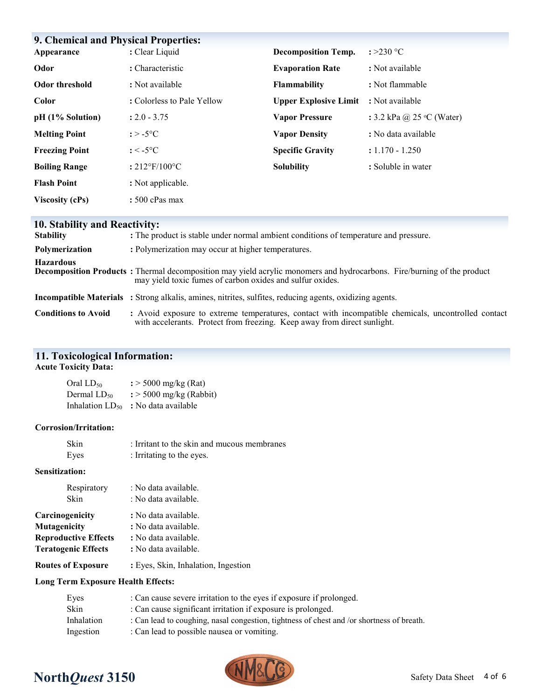| <b>9. Chemical and Physical Properties:</b><br>: Clear Liquid<br>: >230 $^{\circ}$ C |                               |                              |                                    |
|--------------------------------------------------------------------------------------|-------------------------------|------------------------------|------------------------------------|
| Appearance                                                                           |                               | <b>Decomposition Temp.</b>   |                                    |
| Odor                                                                                 | : Characteristic              | <b>Evaporation Rate</b>      | : Not available                    |
| <b>Odor threshold</b>                                                                | : Not available               | Flammability                 | : Not flammable                    |
| Color                                                                                | : Colorless to Pale Yellow    | <b>Upper Explosive Limit</b> | : Not available                    |
| $pH (1%$ Solution)                                                                   | $: 2.0 - 3.75$                | <b>Vapor Pressure</b>        | : 3.2 kPa @ 25 $\degree$ C (Water) |
| <b>Melting Point</b>                                                                 | : $>$ -5°C                    | <b>Vapor Density</b>         | : No data available                |
| <b>Freezing Point</b>                                                                | $: < -5$ °C                   | <b>Specific Gravity</b>      | $: 1.170 - 1.250$                  |
| <b>Boiling Range</b>                                                                 | $: 212^{\circ}F/100^{\circ}C$ | <b>Solubility</b>            | : Soluble in water                 |
| <b>Flash Point</b>                                                                   | : Not applicable.             |                              |                                    |
| <b>Viscosity (cPs)</b>                                                               | $: 500$ cPas max              |                              |                                    |

# **10. Stability and Reactivity:**

| <b>Stability</b>           | : The product is stable under normal ambient conditions of temperature and pressure.                                                                                                        |
|----------------------------|---------------------------------------------------------------------------------------------------------------------------------------------------------------------------------------------|
| Polymerization             | : Polymerization may occur at higher temperatures.                                                                                                                                          |
| <b>Hazardous</b>           | <b>Decomposition Products</b> : Thermal decomposition may yield acrylic monomers and hydrocarbons. Fire/burning of the product<br>may yield toxic fumes of carbon oxides and sulfur oxides. |
|                            | <b>Incompatible Materials</b> : Strong alkalis, amines, nitrites, sulfites, reducing agents, oxidizing agents.                                                                              |
| <b>Conditions to Avoid</b> | : Avoid exposure to extreme temperatures, contact with incompatible chemicals, uncontrolled contact<br>with accelerants. Protect from freezing. Keep away from direct sunlight.             |

# **11. Toxicological Information:**

### **Acute Toxicity Data:**

| Oral LD <sub>50</sub>       | $\frac{1}{2}$ > 5000 mg/kg (Rat)    |
|-----------------------------|-------------------------------------|
| Dermal LD50                 | $\frac{1}{2}$ > 5000 mg/kg (Rabbit) |
| Inhalation LD <sub>50</sub> | : No data available                 |

### **Corrosion/Irritation:**

| Skin | : Irritant to the skin and mucous membranes |
|------|---------------------------------------------|
| Eyes | : Irritating to the eyes.                   |

### **Sensitization:**

| Respiratory<br>Skin         | : No data available.<br>: No data available. |  |
|-----------------------------|----------------------------------------------|--|
| Carcinogenicity             | : No data available.                         |  |
| <b>Mutagenicity</b>         | : No data available.                         |  |
| <b>Reproductive Effects</b> | : No data available.                         |  |
| <b>Teratogenic Effects</b>  | : No data available.                         |  |
| <b>Routes of Exposure</b>   | : Eyes, Skin, Inhalation, Ingestion          |  |

### **Long Term Exposure Health Effects:**

| Eyes       | : Can cause severe irritation to the eyes if exposure if prolonged.                       |
|------------|-------------------------------------------------------------------------------------------|
| Skin       | : Can cause significant irritation if exposure is prolonged.                              |
| Inhalation | : Can lead to coughing, nasal congestion, tightness of chest and /or shortness of breath. |
| Ingestion  | : Can lead to possible nausea or vomiting.                                                |



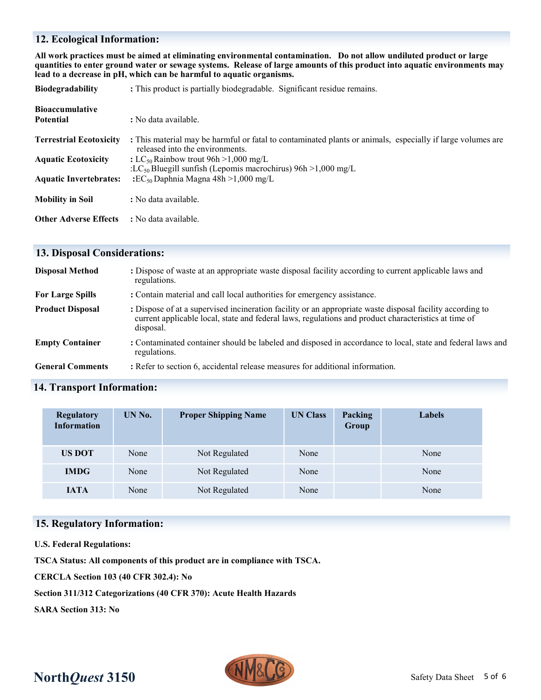# **12. Ecological Information:**

**All work practices must be aimed at eliminating environmental contamination. Do not allow undiluted product or large quantities to enter ground water or sewage systems. Release of large amounts of this product into aquatic environments may lead to a decrease in pH, which can be harmful to aquatic organisms.**

| <b>Biodegradability</b>        | : This product is partially biodegradable. Significant residue remains.                                                                       |  |  |
|--------------------------------|-----------------------------------------------------------------------------------------------------------------------------------------------|--|--|
| <b>Bioaccumulative</b>         |                                                                                                                                               |  |  |
| <b>Potential</b>               | : No data available.                                                                                                                          |  |  |
| <b>Terrestrial Ecotoxicity</b> | : This material may be harmful or fatal to contaminated plants or animals, especially if large volumes are<br>released into the environments. |  |  |
| <b>Aquatic Ecotoxicity</b>     | : LC <sub>50</sub> Rainbow trout 96h > 1,000 mg/L<br>:LC <sub>50</sub> Bluegill sunfish (Lepomis macrochirus) $96h > 1,000$ mg/L              |  |  |
| <b>Aquatic Invertebrates:</b>  | : $EC_{50}$ Daphnia Magna 48h >1,000 mg/L                                                                                                     |  |  |
| <b>Mobility in Soil</b>        | : No data available.                                                                                                                          |  |  |
| <b>Other Adverse Effects</b>   | : No data available.                                                                                                                          |  |  |

## **13. Disposal Considerations:**

| <b>Disposal Method</b>  | : Dispose of waste at an appropriate waste disposal facility according to current applicable laws and<br>regulations.                                                                                                          |
|-------------------------|--------------------------------------------------------------------------------------------------------------------------------------------------------------------------------------------------------------------------------|
| <b>For Large Spills</b> | : Contain material and call local authorities for emergency assistance.                                                                                                                                                        |
| <b>Product Disposal</b> | : Dispose of at a supervised incineration facility or an appropriate waste disposal facility according to<br>current applicable local, state and federal laws, regulations and product characteristics at time of<br>disposal. |
| <b>Empty Container</b>  | : Contaminated container should be labeled and disposed in accordance to local, state and federal laws and<br>regulations.                                                                                                     |
| <b>General Comments</b> | : Refer to section 6, accidental release measures for additional information.                                                                                                                                                  |

## **14. Transport Information:**

| <b>Regulatory</b><br><b>Information</b> | UN No.        | <b>Proper Shipping Name</b> | <b>UN Class</b> | Packing<br>Group | <b>Labels</b> |
|-----------------------------------------|---------------|-----------------------------|-----------------|------------------|---------------|
| <b>US DOT</b>                           | None          | Not Regulated               | None            |                  | None          |
| <b>IMDG</b><br>None                     | Not Regulated | None                        |                 | None             |               |
| <b>IATA</b>                             | None          | Not Regulated               | None            |                  | None          |

### **15. Regulatory Information:**

**U.S. Federal Regulations:**

**TSCA Status: All components of this product are in compliance with TSCA.**

**CERCLA Section 103 (40 CFR 302.4): No**

**Section 311/312 Categorizations (40 CFR 370): Acute Health Hazards**

**SARA Section 313: No**